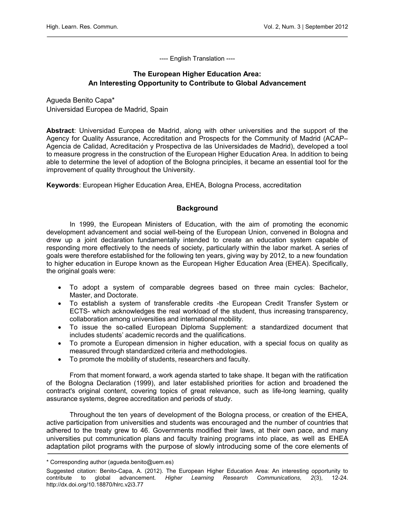---- English Translation ----

# The European Higher Education Area: An Interesting Opportunity to Contribute to Global Advancement

Agueda Benito Capa\* Universidad Europea de Madrid, Spain

Abstract: Universidad Europea de Madrid, along with other universities and the support of the Agency for Quality Assurance, Accreditation and Prospects for the Community of Madrid (ACAP– Agencia de Calidad, Acreditación y Prospectiva de las Universidades de Madrid), developed a tool to measure progress in the construction of the European Higher Education Area. In addition to being able to determine the level of adoption of the Bologna principles, it became an essential tool for the improvement of quality throughout the University.

Keywords: European Higher Education Area, EHEA, Bologna Process, accreditation

## **Background**

In 1999, the European Ministers of Education, with the aim of promoting the economic development advancement and social well-being of the European Union, convened in Bologna and drew up a joint declaration fundamentally intended to create an education system capable of responding more effectively to the needs of society, particularly within the labor market. A series of goals were therefore established for the following ten years, giving way by 2012, to a new foundation to higher education in Europe known as the European Higher Education Area (EHEA). Specifically, the original goals were:

- To adopt a system of comparable degrees based on three main cycles: Bachelor, Master, and Doctorate.
- To establish a system of transferable credits -the European Credit Transfer System or ECTS- which acknowledges the real workload of the student, thus increasing transparency, collaboration among universities and international mobility.
- To issue the so-called European Diploma Supplement: a standardized document that includes students' academic records and the qualifications.
- To promote a European dimension in higher education, with a special focus on quality as measured through standardized criteria and methodologies.
- To promote the mobility of students, researchers and faculty.

From that moment forward, a work agenda started to take shape. It began with the ratification of the Bologna Declaration (1999), and later established priorities for action and broadened the contract's original content, covering topics of great relevance, such as life-long learning, quality assurance systems, degree accreditation and periods of study.

Throughout the ten years of development of the Bologna process, or creation of the EHEA, active participation from universities and students was encouraged and the number of countries that adhered to the treaty grew to 46. Governments modified their laws, at their own pace, and many universities put communication plans and faculty training programs into place, as well as EHEA adaptation pilot programs with the purpose of slowly introducing some of the core elements of

<sup>\*</sup> Corresponding author (agueda.benito@uem.es)

Suggested citation: Benito-Capa, A. (2012). The European Higher Education Area: An interesting opportunity to contribute to global advancement. Higher Learning Research Communications, 2(3), 12-24. <http://dx.doi.org/10.18870/hlrc.v2i3.77>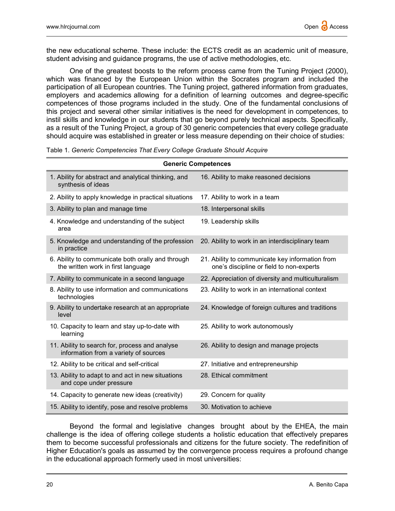the new educational scheme. These include: the ECTS credit as an academic unit of measure, student advising and guidance programs, the use of active methodologies, etc.

One of the greatest boosts to the reform process came from the Tuning Project (2000), which was financed by the European Union within the Socrates program and included the participation of all European countries. The Tuning project, gathered information from graduates, employers and academics allowing for a definition of learning outcomes and degree-specific competences of those programs included in the study. One of the fundamental conclusions of this project and several other similar initiatives is the need for development in competences, to instil skills and knowledge in our students that go beyond purely technical aspects. Specifically, as a result of the Tuning Project, a group of 30 generic competencies that every college graduate should acquire was established in greater or less measure depending on their choice of studies:

| <b>Generic Competences</b>                                                              |                                                                                             |
|-----------------------------------------------------------------------------------------|---------------------------------------------------------------------------------------------|
| 1. Ability for abstract and analytical thinking, and<br>synthesis of ideas              | 16. Ability to make reasoned decisions                                                      |
| 2. Ability to apply knowledge in practical situations                                   | 17. Ability to work in a team                                                               |
| 3. Ability to plan and manage time                                                      | 18. Interpersonal skills                                                                    |
| 4. Knowledge and understanding of the subject<br>area                                   | 19. Leadership skills                                                                       |
| 5. Knowledge and understanding of the profession<br>in practice                         | 20. Ability to work in an interdisciplinary team                                            |
| 6. Ability to communicate both orally and through<br>the written work in first language | 21. Ability to communicate key information from<br>one's discipline or field to non-experts |
| 7. Ability to communicate in a second language                                          | 22. Appreciation of diversity and multiculturalism                                          |
| 8. Ability to use information and communications<br>technologies                        | 23. Ability to work in an international context                                             |
| 9. Ability to undertake research at an appropriate<br>level                             | 24. Knowledge of foreign cultures and traditions                                            |
| 10. Capacity to learn and stay up-to-date with<br>learning                              | 25. Ability to work autonomously                                                            |
| 11. Ability to search for, process and analyse<br>information from a variety of sources | 26. Ability to design and manage projects                                                   |
| 12. Ability to be critical and self-critical                                            | 27. Initiative and entrepreneurship                                                         |
| 13. Ability to adapt to and act in new situations<br>and cope under pressure            | 28. Ethical commitment                                                                      |
| 14. Capacity to generate new ideas (creativity)                                         | 29. Concern for quality                                                                     |
| 15. Ability to identify, pose and resolve problems                                      | 30. Motivation to achieve                                                                   |

Table 1. Generic Competencies That Every College Graduate Should Acquire

Beyond the formal and legislative changes brought about by the EHEA, the main challenge is the idea of offering college students a holistic education that effectively prepares them to become successful professionals and citizens for the future society. The redefinition of Higher Education's goals as assumed by the convergence process requires a profound change in the educational approach formerly used in most universities: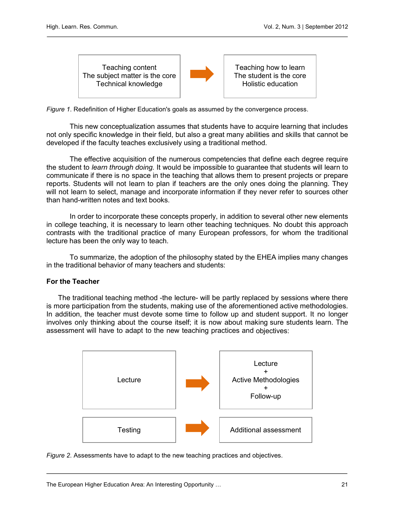



Teaching how to learn The student is the core Holistic education

Figure 1. Redefinition of Higher Education's goals as assumed by the convergence process.

This new conceptualization assumes that students have to acquire learning that includes not only specific knowledge in their field, but also a great many abilities and skills that cannot be developed if the faculty teaches exclusively using a traditional method.

The effective acquisition of the numerous competencies that define each degree require the student to *learn through doing*. It would be impossible to guarantee that students will learn to communicate if there is no space in the teaching that allows them to present projects or prepare reports. Students will not learn to plan if teachers are the only ones doing the planning. They will not learn to select, manage and incorporate information if they never refer to sources other than hand-written notes and text books.

In order to incorporate these concepts properly, in addition to several other new elements in college teaching, it is necessary to learn other teaching techniques. No doubt this approach contrasts with the traditional practice of many European professors, for whom the traditional lecture has been the only way to teach.

To summarize, the adoption of the philosophy stated by the EHEA implies many changes in the traditional behavior of many teachers and students:

#### For the Teacher

The traditional teaching method -the lecture- will be partly replaced by sessions where there is more participation from the students, making use of the aforementioned active methodologies. In addition, the teacher must devote some time to follow up and student support. It no longer involves only thinking about the course itself; it is now about making sure students learn. The assessment will have to adapt to the new teaching practices and objectives:



Figure 2. Assessments have to adapt to the new teaching practices and objectives.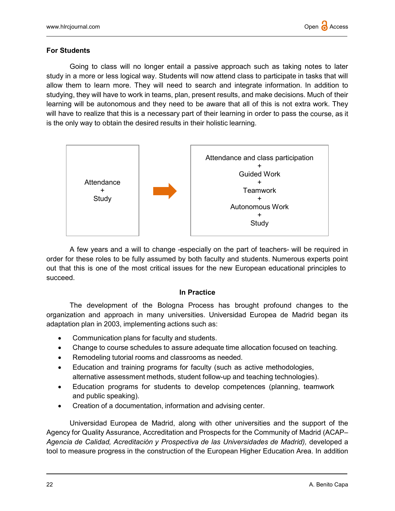## For Students

Going to class will no longer entail a passive approach such as taking notes to later study in a more or less logical way. Students will now attend class to participate in tasks that will allow them to learn more. They will need to search and integrate information. In addition to studying, they will have to work in teams, plan, present results, and make decisions. Much of their learning will be autonomous and they need to be aware that all of this is not extra work. They will have to realize that this is a necessary part of their learning in order to pass the course, as it is the only way to obtain the desired results in their holistic learning.



A few years and a will to change -especially on the part of teachers- will be required in order for these roles to be fully assumed by both faculty and students. Numerous experts point out that this is one of the most critical issues for the new European educational principles to succeed.

#### In Practice

The development of the Bologna Process has brought profound changes to the organization and approach in many universities. Universidad Europea de Madrid began its adaptation plan in 2003, implementing actions such as:

- Communication plans for faculty and students.
- Change to course schedules to assure adequate time allocation focused on teaching.
- Remodeling tutorial rooms and classrooms as needed.
- Education and training programs for faculty (such as active methodologies, alternative assessment methods, student follow-up and teaching technologies).
- Education programs for students to develop competences (planning, teamwork and public speaking).
- Creation of a documentation, information and advising center.

Universidad Europea de Madrid, along with other universities and the support of the Agency for Quality Assurance, Accreditation and Prospects for the Community of Madrid (ACAP– Agencia de Calidad, Acreditación y Prospectiva de las Universidades de Madrid), developed a tool to measure progress in the construction of the European Higher Education Area. In addition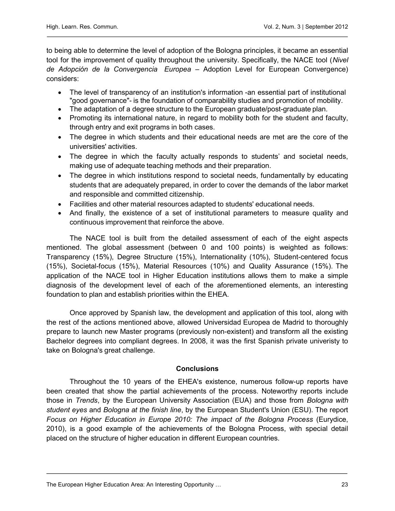to being able to determine the level of adoption of the Bologna principles, it became an essential tool for the improvement of quality throughout the university. Specifically, the NACE tool (Nivel de Adopción de la Convergencia Europea – Adoption Level for European Convergence) considers:

- The level of transparency of an institution's information -an essential part of institutional "good governance"- is the foundation of comparability studies and promotion of mobility.
- The adaptation of a degree structure to the European graduate/post-graduate plan.
- Promoting its international nature, in regard to mobility both for the student and faculty, through entry and exit programs in both cases.
- The degree in which students and their educational needs are met are the core of the universities' activities.
- The degree in which the faculty actually responds to students' and societal needs, making use of adequate teaching methods and their preparation.
- The degree in which institutions respond to societal needs, fundamentally by educating students that are adequately prepared, in order to cover the demands of the labor market and responsible and committed citizenship.
- Facilities and other material resources adapted to students' educational needs.
- And finally, the existence of a set of institutional parameters to measure quality and continuous improvement that reinforce the above.

The NACE tool is built from the detailed assessment of each of the eight aspects mentioned. The global assessment (between 0 and 100 points) is weighted as follows: Transparency (15%), Degree Structure (15%), Internationality (10%), Student-centered focus (15%), Societal-focus (15%), Material Resources (10%) and Quality Assurance (15%). The application of the NACE tool in Higher Education institutions allows them to make a simple diagnosis of the development level of each of the aforementioned elements, an interesting foundation to plan and establish priorities within the EHEA.

Once approved by Spanish law, the development and application of this tool, along with the rest of the actions mentioned above, allowed Universidad Europea de Madrid to thoroughly prepare to launch new Master programs (previously non-existent) and transform all the existing Bachelor degrees into compliant degrees. In 2008, it was the first Spanish private univeristy to take on Bologna's great challenge.

# **Conclusions**

Throughout the 10 years of the EHEA's existence, numerous follow-up reports have been created that show the partial achievements of the process. Noteworthy reports include those in Trends, by the European University Association (EUA) and those from Bologna with student eyes and Bologna at the finish line, by the European Student's Union (ESU). The report Focus on Higher Education in Europe 2010: The impact of the Bologna Process (Eurydice, 2010), is a good example of the achievements of the Bologna Process, with special detail placed on the structure of higher education in different European countries.